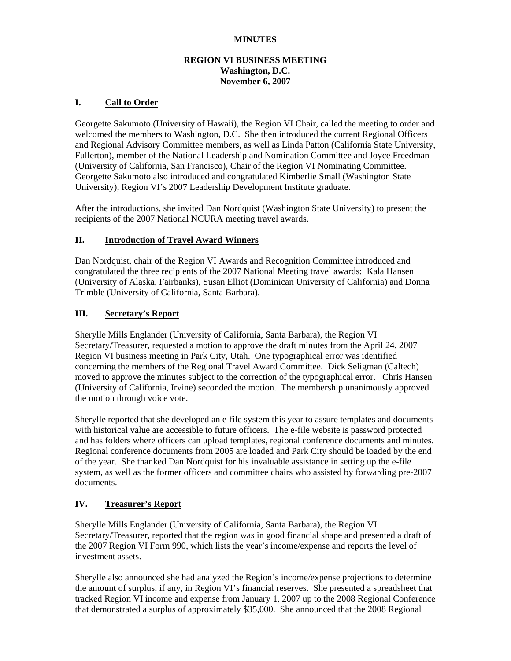### **MINUTES**

### **REGION VI BUSINESS MEETING Washington, D.C. November 6, 2007**

### **I. Call to Order**

Georgette Sakumoto (University of Hawaii), the Region VI Chair, called the meeting to order and welcomed the members to Washington, D.C. She then introduced the current Regional Officers and Regional Advisory Committee members, as well as Linda Patton (California State University, Fullerton), member of the National Leadership and Nomination Committee and Joyce Freedman (University of California, San Francisco), Chair of the Region VI Nominating Committee. Georgette Sakumoto also introduced and congratulated Kimberlie Small (Washington State University), Region VI's 2007 Leadership Development Institute graduate.

After the introductions, she invited Dan Nordquist (Washington State University) to present the recipients of the 2007 National NCURA meeting travel awards.

### **II. Introduction of Travel Award Winners**

Dan Nordquist, chair of the Region VI Awards and Recognition Committee introduced and congratulated the three recipients of the 2007 National Meeting travel awards: Kala Hansen (University of Alaska, Fairbanks), Susan Elliot (Dominican University of California) and Donna Trimble (University of California, Santa Barbara).

### **III. Secretary's Report**

Sherylle Mills Englander (University of California, Santa Barbara), the Region VI Secretary/Treasurer, requested a motion to approve the draft minutes from the April 24, 2007 Region VI business meeting in Park City, Utah. One typographical error was identified concerning the members of the Regional Travel Award Committee. Dick Seligman (Caltech) moved to approve the minutes subject to the correction of the typographical error. Chris Hansen (University of California, Irvine) seconded the motion. The membership unanimously approved the motion through voice vote.

Sherylle reported that she developed an e-file system this year to assure templates and documents with historical value are accessible to future officers. The e-file website is password protected and has folders where officers can upload templates, regional conference documents and minutes. Regional conference documents from 2005 are loaded and Park City should be loaded by the end of the year. She thanked Dan Nordquist for his invaluable assistance in setting up the e-file system, as well as the former officers and committee chairs who assisted by forwarding pre-2007 documents.

## **IV. Treasurer's Report**

Sherylle Mills Englander (University of California, Santa Barbara), the Region VI Secretary/Treasurer, reported that the region was in good financial shape and presented a draft of the 2007 Region VI Form 990, which lists the year's income/expense and reports the level of investment assets.

Sherylle also announced she had analyzed the Region's income/expense projections to determine the amount of surplus, if any, in Region VI's financial reserves. She presented a spreadsheet that tracked Region VI income and expense from January 1, 2007 up to the 2008 Regional Conference that demonstrated a surplus of approximately \$35,000. She announced that the 2008 Regional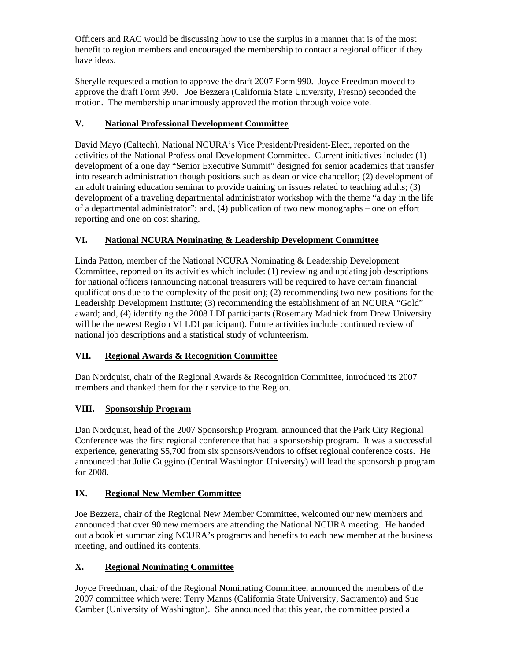Officers and RAC would be discussing how to use the surplus in a manner that is of the most benefit to region members and encouraged the membership to contact a regional officer if they have ideas.

Sherylle requested a motion to approve the draft 2007 Form 990. Joyce Freedman moved to approve the draft Form 990. Joe Bezzera (California State University, Fresno) seconded the motion. The membership unanimously approved the motion through voice vote.

## **V. National Professional Development Committee**

David Mayo (Caltech), National NCURA's Vice President/President-Elect, reported on the activities of the National Professional Development Committee. Current initiatives include: (1) development of a one day "Senior Executive Summit" designed for senior academics that transfer into research administration though positions such as dean or vice chancellor; (2) development of an adult training education seminar to provide training on issues related to teaching adults; (3) development of a traveling departmental administrator workshop with the theme "a day in the life of a departmental administrator"; and, (4) publication of two new monographs – one on effort reporting and one on cost sharing.

## **VI. National NCURA Nominating & Leadership Development Committee**

Linda Patton, member of the National NCURA Nominating & Leadership Development Committee, reported on its activities which include: (1) reviewing and updating job descriptions for national officers (announcing national treasurers will be required to have certain financial qualifications due to the complexity of the position); (2) recommending two new positions for the Leadership Development Institute; (3) recommending the establishment of an NCURA "Gold" award; and, (4) identifying the 2008 LDI participants (Rosemary Madnick from Drew University will be the newest Region VI LDI participant). Future activities include continued review of national job descriptions and a statistical study of volunteerism.

# **VII. Regional Awards & Recognition Committee**

Dan Nordquist, chair of the Regional Awards & Recognition Committee, introduced its 2007 members and thanked them for their service to the Region.

# **VIII. Sponsorship Program**

Dan Nordquist, head of the 2007 Sponsorship Program, announced that the Park City Regional Conference was the first regional conference that had a sponsorship program. It was a successful experience, generating \$5,700 from six sponsors/vendors to offset regional conference costs. He announced that Julie Guggino (Central Washington University) will lead the sponsorship program for 2008.

## **IX. Regional New Member Committee**

Joe Bezzera, chair of the Regional New Member Committee, welcomed our new members and announced that over 90 new members are attending the National NCURA meeting. He handed out a booklet summarizing NCURA's programs and benefits to each new member at the business meeting, and outlined its contents.

# **X. Regional Nominating Committee**

Joyce Freedman, chair of the Regional Nominating Committee, announced the members of the 2007 committee which were: Terry Manns (California State University, Sacramento) and Sue Camber (University of Washington). She announced that this year, the committee posted a